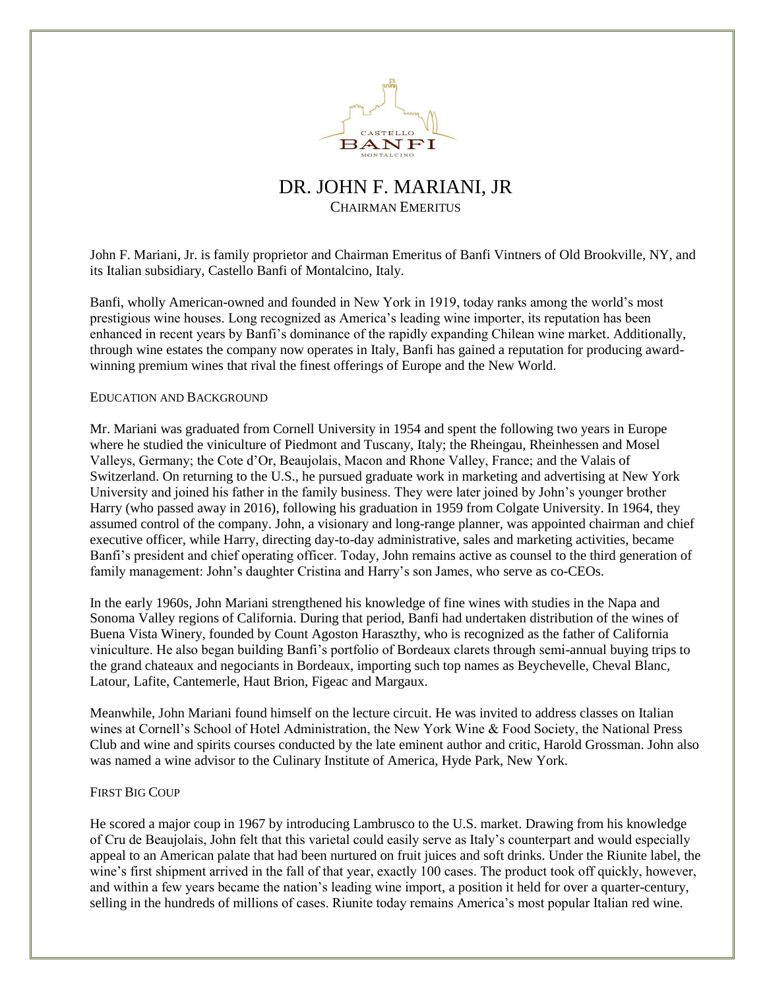

# DR. JOHN F. MARIANI, JR CHAIRMAN EMERITUS

John F. Mariani, Jr. is family proprietor and Chairman Emeritus of Banfi Vintners of Old Brookville, NY, and its Italian subsidiary, Castello Banfi of Montalcino, Italy.

Banfi, wholly American-owned and founded in New York in 1919, today ranks among the world's most prestigious wine houses. Long recognized as America's leading wine importer, its reputation has been enhanced in recent years by Banfi's dominance of the rapidly expanding Chilean wine market. Additionally, through wine estates the company now operates in Italy, Banfi has gained a reputation for producing awardwinning premium wines that rival the finest offerings of Europe and the New World.

#### EDUCATION AND BACKGROUND

Mr. Mariani was graduated from Cornell University in 1954 and spent the following two years in Europe where he studied the viniculture of Piedmont and Tuscany, Italy; the Rheingau, Rheinhessen and Mosel Valleys, Germany; the Cote d'Or, Beaujolais, Macon and Rhone Valley, France; and the Valais of Switzerland. On returning to the U.S., he pursued graduate work in marketing and advertising at New York University and joined his father in the family business. They were later joined by John's younger brother Harry (who passed away in 2016), following his graduation in 1959 from Colgate University. In 1964, they assumed control of the company. John, a visionary and long-range planner, was appointed chairman and chief executive officer, while Harry, directing day-to-day administrative, sales and marketing activities, became Banfi's president and chief operating officer. Today, John remains active as counsel to the third generation of family management: John's daughter Cristina and Harry's son James, who serve as co-CEOs.

In the early 1960s, John Mariani strengthened his knowledge of fine wines with studies in the Napa and Sonoma Valley regions of California. During that period, Banfi had undertaken distribution of the wines of Buena Vista Winery, founded by Count Agoston Haraszthy, who is recognized as the father of California viniculture. He also began building Banfi's portfolio of Bordeaux clarets through semi-annual buying trips to the grand chateaux and negociants in Bordeaux, importing such top names as Beychevelle, Cheval Blanc, Latour, Lafite, Cantemerle, Haut Brion, Figeac and Margaux.

Meanwhile, John Mariani found himself on the lecture circuit. He was invited to address classes on Italian wines at Cornell's School of Hotel Administration, the New York Wine & Food Society, the National Press Club and wine and spirits courses conducted by the late eminent author and critic, Harold Grossman. John also was named a wine advisor to the Culinary Institute of America, Hyde Park, New York.

## FIRST BIG COUP

He scored a major coup in 1967 by introducing Lambrusco to the U.S. market. Drawing from his knowledge of Cru de Beaujolais, John felt that this varietal could easily serve as Italy's counterpart and would especially appeal to an American palate that had been nurtured on fruit juices and soft drinks. Under the Riunite label, the wine's first shipment arrived in the fall of that year, exactly 100 cases. The product took off quickly, however, and within a few years became the nation's leading wine import, a position it held for over a quarter-century, selling in the hundreds of millions of cases. Riunite today remains America's most popular Italian red wine.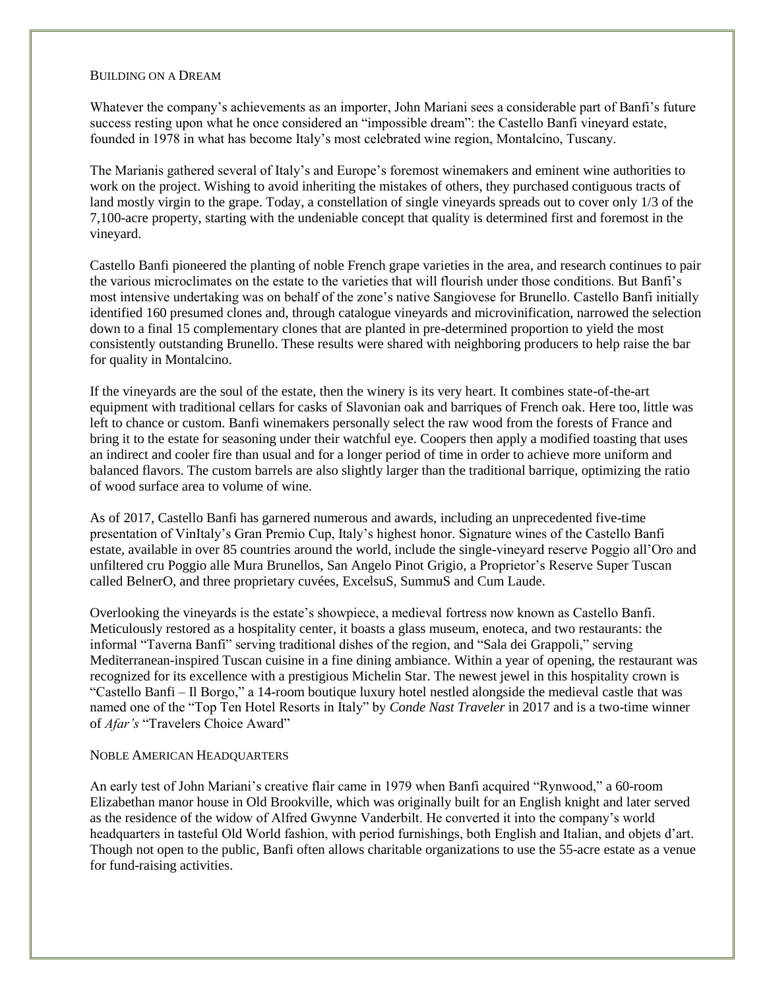# BUILDING ON A DREAM

Whatever the company's achievements as an importer, John Mariani sees a considerable part of Banfi's future success resting upon what he once considered an "impossible dream": the Castello Banfi vineyard estate, founded in 1978 in what has become Italy's most celebrated wine region, Montalcino, Tuscany.

The Marianis gathered several of Italy's and Europe's foremost winemakers and eminent wine authorities to work on the project. Wishing to avoid inheriting the mistakes of others, they purchased contiguous tracts of land mostly virgin to the grape. Today, a constellation of single vineyards spreads out to cover only 1/3 of the 7,100-acre property, starting with the undeniable concept that quality is determined first and foremost in the vineyard.

Castello Banfi pioneered the planting of noble French grape varieties in the area, and research continues to pair the various microclimates on the estate to the varieties that will flourish under those conditions. But Banfi's most intensive undertaking was on behalf of the zone's native Sangiovese for Brunello. Castello Banfi initially identified 160 presumed clones and, through catalogue vineyards and microvinification, narrowed the selection down to a final 15 complementary clones that are planted in pre-determined proportion to yield the most consistently outstanding Brunello. These results were shared with neighboring producers to help raise the bar for quality in Montalcino.

If the vineyards are the soul of the estate, then the winery is its very heart. It combines state-of-the-art equipment with traditional cellars for casks of Slavonian oak and barriques of French oak. Here too, little was left to chance or custom. Banfi winemakers personally select the raw wood from the forests of France and bring it to the estate for seasoning under their watchful eye. Coopers then apply a modified toasting that uses an indirect and cooler fire than usual and for a longer period of time in order to achieve more uniform and balanced flavors. The custom barrels are also slightly larger than the traditional barrique, optimizing the ratio of wood surface area to volume of wine.

As of 2017, Castello Banfi has garnered numerous and awards, including an unprecedented five-time presentation of VinItaly's Gran Premio Cup, Italy's highest honor. Signature wines of the Castello Banfi estate, available in over 85 countries around the world, include the single-vineyard reserve Poggio all'Oro and unfiltered cru Poggio alle Mura Brunellos, San Angelo Pinot Grigio, a Proprietor's Reserve Super Tuscan called BelnerO, and three proprietary cuvées, ExcelsuS, SummuS and Cum Laude.

Overlooking the vineyards is the estate's showpiece, a medieval fortress now known as Castello Banfi. Meticulously restored as a hospitality center, it boasts a glass museum, enoteca, and two restaurants: the informal "Taverna Banfi" serving traditional dishes of the region, and "Sala dei Grappoli," serving Mediterranean-inspired Tuscan cuisine in a fine dining ambiance. Within a year of opening, the restaurant was recognized for its excellence with a prestigious Michelin Star. The newest jewel in this hospitality crown is "Castello Banfi – Il Borgo," a 14-room boutique luxury hotel nestled alongside the medieval castle that was named one of the "Top Ten Hotel Resorts in Italy" by *Conde Nast Traveler* in 2017 and is a two-time winner of *Afar's* "Travelers Choice Award"

## NOBLE AMERICAN HEADQUARTERS

An early test of John Mariani's creative flair came in 1979 when Banfi acquired "Rynwood," a 60-room Elizabethan manor house in Old Brookville, which was originally built for an English knight and later served as the residence of the widow of Alfred Gwynne Vanderbilt. He converted it into the company's world headquarters in tasteful Old World fashion, with period furnishings, both English and Italian, and objets d'art. Though not open to the public, Banfi often allows charitable organizations to use the 55-acre estate as a venue for fund-raising activities.